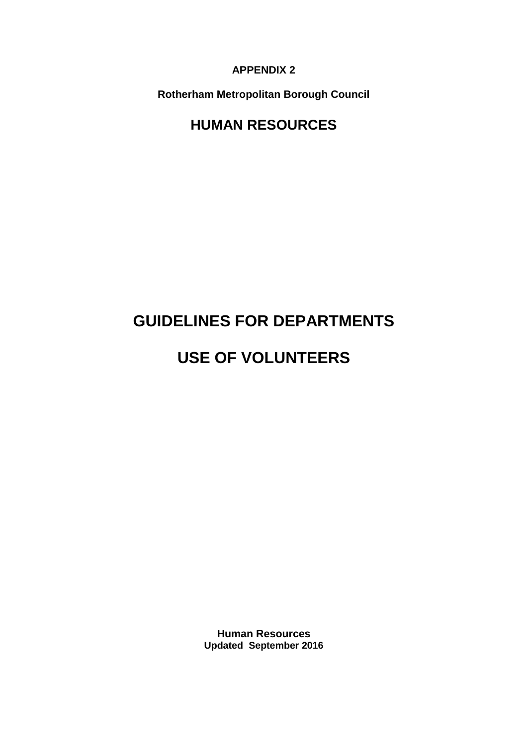**APPENDIX 2**

**Rotherham Metropolitan Borough Council**

# **HUMAN RESOURCES**

# **GUIDELINES FOR DEPARTMENTS**

# **USE OF VOLUNTEERS**

**Human Resources Updated September 2016**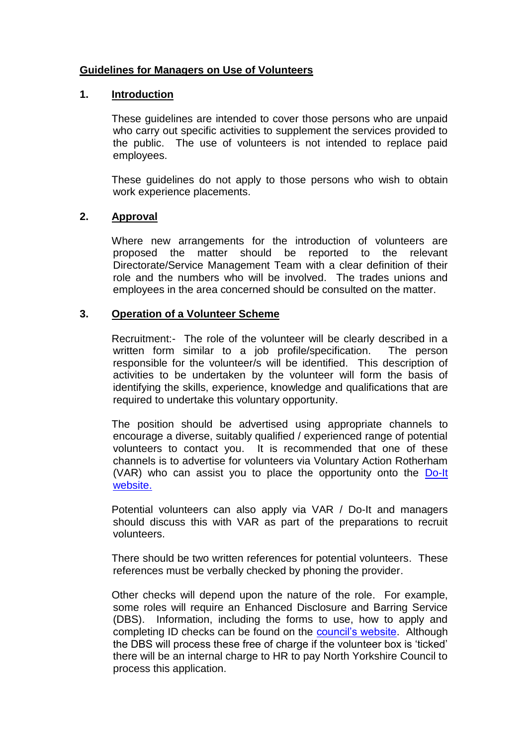# **Guidelines for Managers on Use of Volunteers**

# **1. Introduction**

These guidelines are intended to cover those persons who are unpaid who carry out specific activities to supplement the services provided to the public. The use of volunteers is not intended to replace paid employees.

These guidelines do not apply to those persons who wish to obtain work experience placements.

# **2. Approval**

Where new arrangements for the introduction of volunteers are proposed the matter should be reported to the relevant Directorate/Service Management Team with a clear definition of their role and the numbers who will be involved. The trades unions and employees in the area concerned should be consulted on the matter.

### **3. Operation of a Volunteer Scheme**

Recruitment:- The role of the volunteer will be clearly described in a written form similar to a job profile/specification. The person responsible for the volunteer/s will be identified. This description of activities to be undertaken by the volunteer will form the basis of identifying the skills, experience, knowledge and qualifications that are required to undertake this voluntary opportunity.

The position should be advertised using appropriate channels to encourage a diverse, suitably qualified / experienced range of potential volunteers to contact you. It is recommended that one of these channels is to advertise for volunteers via Voluntary Action Rotherham (VAR) who can assist you to place the opportunity onto the [Do-It](https://do-it.org/)  [website.](https://do-it.org/)

Potential volunteers can also apply via VAR / Do-It and managers should discuss this with VAR as part of the preparations to recruit volunteers.

There should be two written references for potential volunteers. These references must be verbally checked by phoning the provider.

Other checks will depend upon the nature of the role. For example, some roles will require an Enhanced Disclosure and Barring Service (DBS). Information, including the forms to use, how to apply and completing ID checks can be found on the [council's website.](https://rotherham-jobsonline.co.uk/GenText.aspx?page=page12) Although the DBS will process these free of charge if the volunteer box is 'ticked' there will be an internal charge to HR to pay North Yorkshire Council to process this application.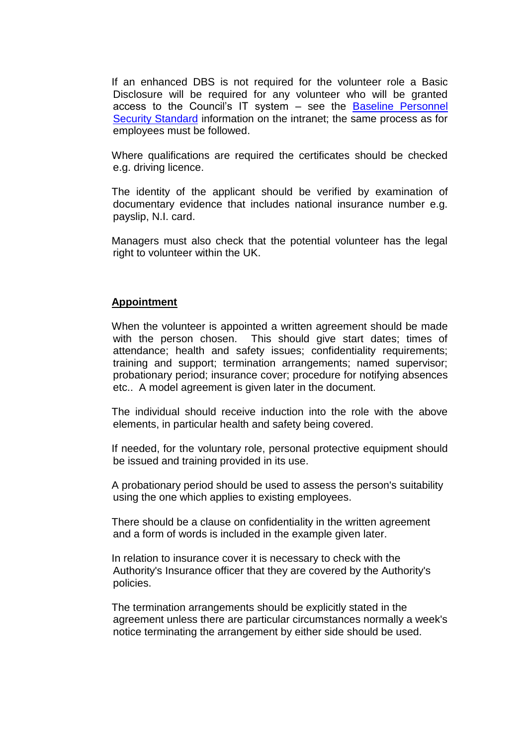If an enhanced DBS is not required for the volunteer role a Basic Disclosure will be required for any volunteer who will be granted access to the Council's IT system – see the [Baseline Personnel](http://rmbcintranet/Directorates/ACE/HRandPayroll/A-ZofHRInformation/Pages/B.aspx)  [Security Standard](http://rmbcintranet/Directorates/ACE/HRandPayroll/A-ZofHRInformation/Pages/B.aspx) information on the intranet; the same process as for employees must be followed.

Where qualifications are required the certificates should be checked e.g. driving licence.

The identity of the applicant should be verified by examination of documentary evidence that includes national insurance number e.g. payslip, N.I. card.

Managers must also check that the potential volunteer has the legal right to volunteer within the UK.

#### **Appointment**

When the volunteer is appointed a written agreement should be made with the person chosen. This should give start dates; times of attendance; health and safety issues; confidentiality requirements; training and support; termination arrangements; named supervisor; probationary period; insurance cover; procedure for notifying absences etc.. A model agreement is given later in the document.

The individual should receive induction into the role with the above elements, in particular health and safety being covered.

If needed, for the voluntary role, personal protective equipment should be issued and training provided in its use.

A probationary period should be used to assess the person's suitability using the one which applies to existing employees.

There should be a clause on confidentiality in the written agreement and a form of words is included in the example given later.

In relation to insurance cover it is necessary to check with the Authority's Insurance officer that they are covered by the Authority's policies.

The termination arrangements should be explicitly stated in the agreement unless there are particular circumstances normally a week's notice terminating the arrangement by either side should be used.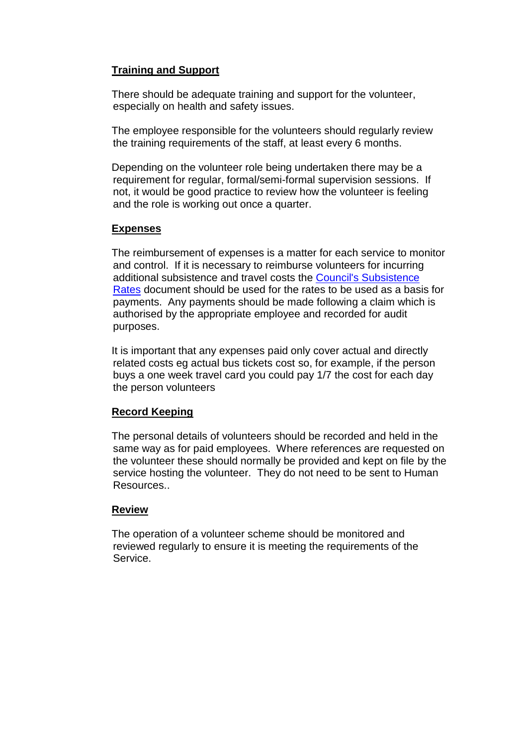# **Training and Support**

There should be adequate training and support for the volunteer, especially on health and safety issues.

The employee responsible for the volunteers should regularly review the training requirements of the staff, at least every 6 months.

Depending on the volunteer role being undertaken there may be a requirement for regular, formal/semi-formal supervision sessions. If not, it would be good practice to review how the volunteer is feeling and the role is working out once a quarter.

# **Expenses**

The reimbursement of expenses is a matter for each service to monitor and control. If it is necessary to reimburse volunteers for incurring additional subsistence and travel costs the [Council's Subsistence](http://rmbcintranet/Directorates/ACE/HRandPayroll/A-ZofHRInformation/Pages/S.aspx)  [Rates](http://rmbcintranet/Directorates/ACE/HRandPayroll/A-ZofHRInformation/Pages/S.aspx) document should be used for the rates to be used as a basis for payments. Any payments should be made following a claim which is authorised by the appropriate employee and recorded for audit purposes.

It is important that any expenses paid only cover actual and directly related costs eg actual bus tickets cost so, for example, if the person buys a one week travel card you could pay 1/7 the cost for each day the person volunteers

# **Record Keeping**

The personal details of volunteers should be recorded and held in the same way as for paid employees. Where references are requested on the volunteer these should normally be provided and kept on file by the service hosting the volunteer. They do not need to be sent to Human Resources..

# **Review**

The operation of a volunteer scheme should be monitored and reviewed regularly to ensure it is meeting the requirements of the Service.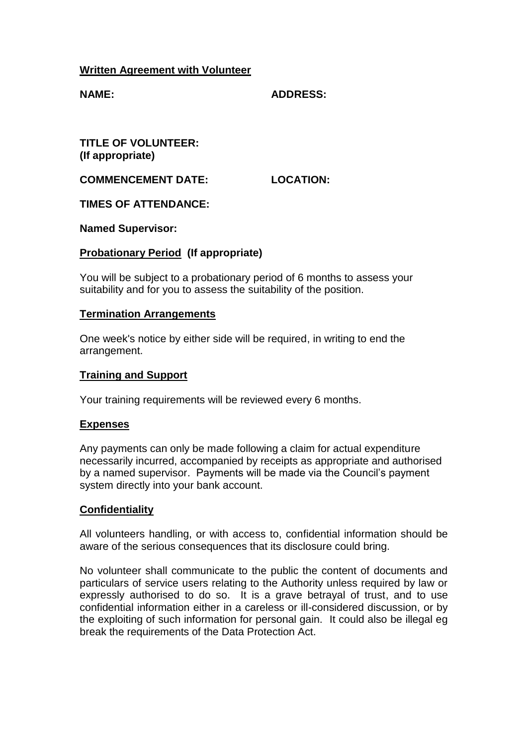# **Written Agreement with Volunteer**

**NAME: ADDRESS:**

**TITLE OF VOLUNTEER: (If appropriate)**

**COMMENCEMENT DATE: LOCATION:**

**TIMES OF ATTENDANCE:**

**Named Supervisor:**

# **Probationary Period (If appropriate)**

You will be subject to a probationary period of 6 months to assess your suitability and for you to assess the suitability of the position.

### **Termination Arrangements**

One week's notice by either side will be required, in writing to end the arrangement.

## **Training and Support**

Your training requirements will be reviewed every 6 months.

#### **Expenses**

Any payments can only be made following a claim for actual expenditure necessarily incurred, accompanied by receipts as appropriate and authorised by a named supervisor. Payments will be made via the Council's payment system directly into your bank account.

# **Confidentiality**

All volunteers handling, or with access to, confidential information should be aware of the serious consequences that its disclosure could bring.

No volunteer shall communicate to the public the content of documents and particulars of service users relating to the Authority unless required by law or expressly authorised to do so. It is a grave betrayal of trust, and to use confidential information either in a careless or ill-considered discussion, or by the exploiting of such information for personal gain. It could also be illegal eg break the requirements of the Data Protection Act.